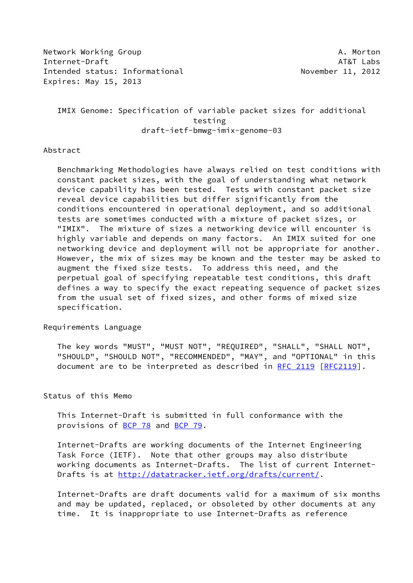Network Working Group **A. Morton** Internet-Draft AT&T Labs Intended status: Informational November 11, 2012 Expires: May 15, 2013

 IMIX Genome: Specification of variable packet sizes for additional testing draft-ietf-bmwg-imix-genome-03

#### Abstract

 Benchmarking Methodologies have always relied on test conditions with constant packet sizes, with the goal of understanding what network device capability has been tested. Tests with constant packet size reveal device capabilities but differ significantly from the conditions encountered in operational deployment, and so additional tests are sometimes conducted with a mixture of packet sizes, or "IMIX". The mixture of sizes a networking device will encounter is highly variable and depends on many factors. An IMIX suited for one networking device and deployment will not be appropriate for another. However, the mix of sizes may be known and the tester may be asked to augment the fixed size tests. To address this need, and the perpetual goal of specifying repeatable test conditions, this draft defines a way to specify the exact repeating sequence of packet sizes from the usual set of fixed sizes, and other forms of mixed size specification.

## Requirements Language

 The key words "MUST", "MUST NOT", "REQUIRED", "SHALL", "SHALL NOT", "SHOULD", "SHOULD NOT", "RECOMMENDED", "MAY", and "OPTIONAL" in this document are to be interpreted as described in [RFC 2119 \[RFC2119](https://datatracker.ietf.org/doc/pdf/rfc2119)].

### Status of this Memo

 This Internet-Draft is submitted in full conformance with the provisions of [BCP 78](https://datatracker.ietf.org/doc/pdf/bcp78) and [BCP 79](https://datatracker.ietf.org/doc/pdf/bcp79).

 Internet-Drafts are working documents of the Internet Engineering Task Force (IETF). Note that other groups may also distribute working documents as Internet-Drafts. The list of current Internet Drafts is at<http://datatracker.ietf.org/drafts/current/>.

 Internet-Drafts are draft documents valid for a maximum of six months and may be updated, replaced, or obsoleted by other documents at any time. It is inappropriate to use Internet-Drafts as reference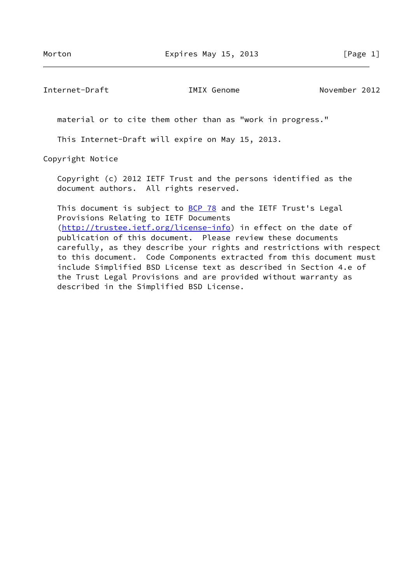Internet-Draft IMIX Genome November 2012

material or to cite them other than as "work in progress."

This Internet-Draft will expire on May 15, 2013.

Copyright Notice

 Copyright (c) 2012 IETF Trust and the persons identified as the document authors. All rights reserved.

This document is subject to **[BCP 78](https://datatracker.ietf.org/doc/pdf/bcp78)** and the IETF Trust's Legal Provisions Relating to IETF Documents [\(http://trustee.ietf.org/license-info](http://trustee.ietf.org/license-info)) in effect on the date of publication of this document. Please review these documents carefully, as they describe your rights and restrictions with respect to this document. Code Components extracted from this document must include Simplified BSD License text as described in Section 4.e of the Trust Legal Provisions and are provided without warranty as described in the Simplified BSD License.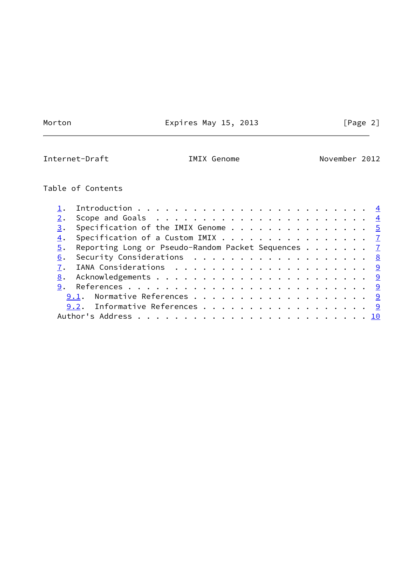Morton **Expires May 15, 2013** [Page 2]

Internet-Draft **IMIX Genome** November 2012

# Table of Contents

|  | 3. Specification of the IMIX Genome $\cdots$ 5        |  |  |  |  |  |
|--|-------------------------------------------------------|--|--|--|--|--|
|  | 4. Specification of a Custom IMIX 7                   |  |  |  |  |  |
|  | 5. Reporting Long or Pseudo-Random Packet Sequences 7 |  |  |  |  |  |
|  | 6. Security Considerations 8                          |  |  |  |  |  |
|  |                                                       |  |  |  |  |  |
|  |                                                       |  |  |  |  |  |
|  |                                                       |  |  |  |  |  |
|  | 9.1. Normative References 9                           |  |  |  |  |  |
|  | 9.2. Informative References 9                         |  |  |  |  |  |
|  |                                                       |  |  |  |  |  |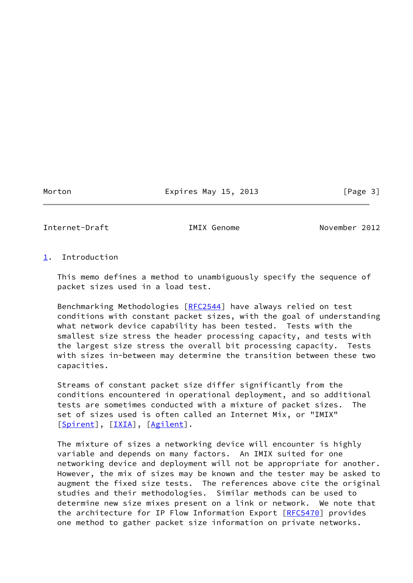### Morton **Expires May 15, 2013** [Page 3]

<span id="page-3-1"></span>Internet-Draft IMIX Genome November 2012

## <span id="page-3-0"></span>[1](#page-3-0). Introduction

 This memo defines a method to unambiguously specify the sequence of packet sizes used in a load test.

 Benchmarking Methodologies [[RFC2544\]](https://datatracker.ietf.org/doc/pdf/rfc2544) have always relied on test conditions with constant packet sizes, with the goal of understanding what network device capability has been tested. Tests with the smallest size stress the header processing capacity, and tests with the largest size stress the overall bit processing capacity. Tests with sizes in-between may determine the transition between these two capacities.

 Streams of constant packet size differ significantly from the conditions encountered in operational deployment, and so additional tests are sometimes conducted with a mixture of packet sizes. The set of sizes used is often called an Internet Mix, or "IMIX" [\[Spirent](#page-10-1)], [[IXIA\]](#page-9-6), [[Agilent\]](#page-9-7).

 The mixture of sizes a networking device will encounter is highly variable and depends on many factors. An IMIX suited for one networking device and deployment will not be appropriate for another. However, the mix of sizes may be known and the tester may be asked to augment the fixed size tests. The references above cite the original studies and their methodologies. Similar methods can be used to determine new size mixes present on a link or network. We note that the architecture for IP Flow Information Export [\[RFC5470](https://datatracker.ietf.org/doc/pdf/rfc5470)] provides one method to gather packet size information on private networks.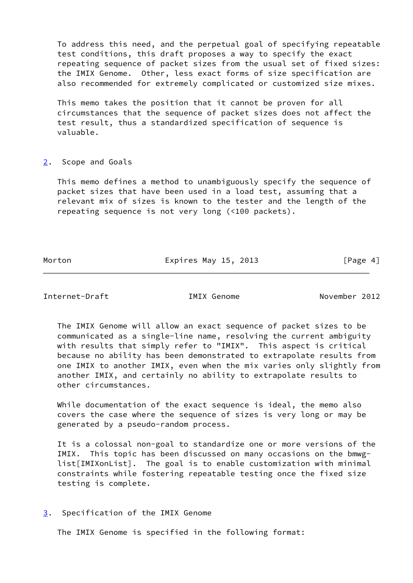To address this need, and the perpetual goal of specifying repeatable test conditions, this draft proposes a way to specify the exact repeating sequence of packet sizes from the usual set of fixed sizes: the IMIX Genome. Other, less exact forms of size specification are also recommended for extremely complicated or customized size mixes.

 This memo takes the position that it cannot be proven for all circumstances that the sequence of packet sizes does not affect the test result, thus a standardized specification of sequence is valuable.

#### <span id="page-4-0"></span>[2](#page-4-0). Scope and Goals

 This memo defines a method to unambiguously specify the sequence of packet sizes that have been used in a load test, assuming that a relevant mix of sizes is known to the tester and the length of the repeating sequence is not very long (<100 packets).

Morton **Expires May 15, 2013** [Page 4]

<span id="page-4-2"></span>Internet-Draft IMIX Genome November 2012

 The IMIX Genome will allow an exact sequence of packet sizes to be communicated as a single-line name, resolving the current ambiguity with results that simply refer to "IMIX". This aspect is critical because no ability has been demonstrated to extrapolate results from one IMIX to another IMIX, even when the mix varies only slightly from another IMIX, and certainly no ability to extrapolate results to other circumstances.

 While documentation of the exact sequence is ideal, the memo also covers the case where the sequence of sizes is very long or may be generated by a pseudo-random process.

 It is a colossal non-goal to standardize one or more versions of the IMIX. This topic has been discussed on many occasions on the bmwg list[IMIXonList]. The goal is to enable customization with minimal constraints while fostering repeatable testing once the fixed size testing is complete.

<span id="page-4-1"></span>[3](#page-4-1). Specification of the IMIX Genome

The IMIX Genome is specified in the following format: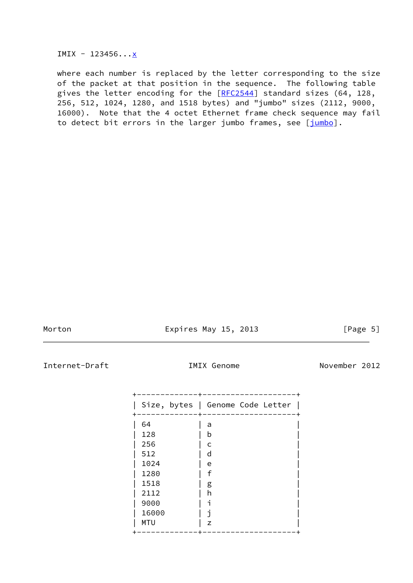IMIX - 123456... $\underline{x}$ 

 where each number is replaced by the letter corresponding to the size of the packet at that position in the sequence. The following table gives the letter encoding for the  $[REC2544]$  standard sizes (64, 128, 256, 512, 1024, 1280, and 1518 bytes) and "jumbo" sizes (2112, 9000, 16000). Note that the 4 octet Ethernet frame check sequence may fail to detect bit errors in the larger jumbo frames, see [\[jumbo\]](#page-10-2).

Morton **Expires May 15, 2013** [Page 5]

Internet-Draft **IMIX Genome** November 2012

|            |   | Size, bytes   Genome Code Letter |  |
|------------|---|----------------------------------|--|
| 64         | a |                                  |  |
| 128        | b |                                  |  |
| 256        | c |                                  |  |
| 512        | d |                                  |  |
| 1024       | e |                                  |  |
| 1280       | f |                                  |  |
| 1518       | g |                                  |  |
| 2112       | h |                                  |  |
| 9000       | ٦ |                                  |  |
| 16000      | ٦ |                                  |  |
| <b>MTU</b> | Z |                                  |  |
|            |   |                                  |  |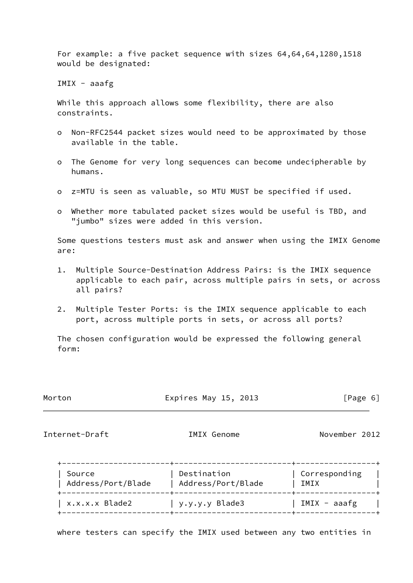For example: a five packet sequence with sizes 64,64,64,1280,1518 would be designated:

IMIX - aaafg

 While this approach allows some flexibility, there are also constraints.

- o Non-RFC2544 packet sizes would need to be approximated by those available in the table.
- o The Genome for very long sequences can become undecipherable by humans.
- o z=MTU is seen as valuable, so MTU MUST be specified if used.
- o Whether more tabulated packet sizes would be useful is TBD, and "jumbo" sizes were added in this version.

 Some questions testers must ask and answer when using the IMIX Genome are:

- 1. Multiple Source-Destination Address Pairs: is the IMIX sequence applicable to each pair, across multiple pairs in sets, or across all pairs?
- 2. Multiple Tester Ports: is the IMIX sequence applicable to each port, across multiple ports in sets, or across all ports?

 The chosen configuration would be expressed the following general form:

Morton **Expires May 15, 2013** [Page 6]

<span id="page-6-0"></span>Internet-Draft IMIX Genome November 2012

| Source             | Destination        | Corresponding  |
|--------------------|--------------------|----------------|
| Address/Port/Blade | Address/Port/Blade | IMIX           |
| x.x.x.x Blade2     | y.y.y.y Blade3     | $IMIX - aaafg$ |

where testers can specify the IMIX used between any two entities in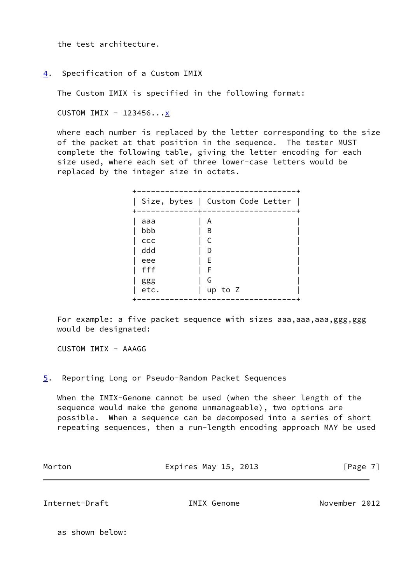the test architecture.

<span id="page-7-0"></span>[4](#page-7-0). Specification of a Custom IMIX

The Custom IMIX is specified in the following format:

CUSTOM IMIX -  $123456...x$ 

 where each number is replaced by the letter corresponding to the size of the packet at that position in the sequence. The tester MUST complete the following table, giving the letter encoding for each size used, where each set of three lower-case letters would be replaced by the integer size in octets.

| Size, bytes   Custom Code Letter<br>A<br>aaa<br>bbb<br>B<br>C<br>ccc |  |
|----------------------------------------------------------------------|--|
|                                                                      |  |
| ddd<br>D<br>Ε<br>eee<br>fff<br>F<br>G<br>ggg                         |  |

For example: a five packet sequence with sizes aaa, aaa, aaa, ggg, ggg would be designated:

CUSTOM IMIX - AAAGG

<span id="page-7-1"></span>[5](#page-7-1). Reporting Long or Pseudo-Random Packet Sequences

 When the IMIX-Genome cannot be used (when the sheer length of the sequence would make the genome unmanageable), two options are possible. When a sequence can be decomposed into a series of short repeating sequences, then a run-length encoding approach MAY be used

| Morton | Expires May 15, 2013 | [Page 7] |
|--------|----------------------|----------|
|        |                      |          |

<span id="page-7-2"></span>Internet-Draft IMIX Genome November 2012

as shown below: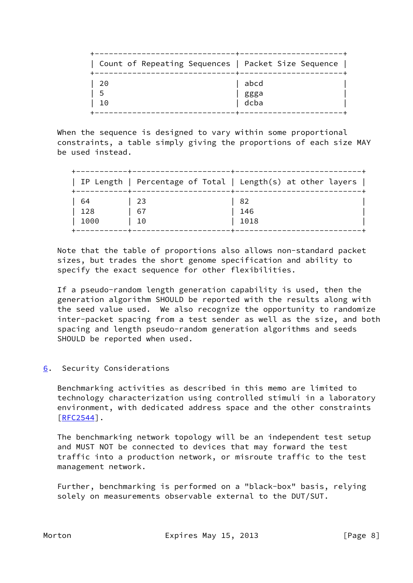|     | -----+----<br>  Count of Repeating Sequences   Packet Size Sequence |
|-----|---------------------------------------------------------------------|
| -20 | abcd                                                                |
| 5   | ggga                                                                |
| 10  | dcba                                                                |

When the sequence is designed to vary within some proportional constraints, a table simply giving the proportions of each size MAY be used instead.

|      |     | IP Length   Percentage of Total   Length(s) at other layers |
|------|-----|-------------------------------------------------------------|
| -64  | -23 | 82                                                          |
| 128  | 67  | 146                                                         |
| 1000 | 10  | 1018                                                        |

 Note that the table of proportions also allows non-standard packet sizes, but trades the short genome specification and ability to specify the exact sequence for other flexibilities.

 If a pseudo-random length generation capability is used, then the generation algorithm SHOULD be reported with the results along with the seed value used. We also recognize the opportunity to randomize inter-packet spacing from a test sender as well as the size, and both spacing and length pseudo-random generation algorithms and seeds SHOULD be reported when used.

# <span id="page-8-0"></span>[6](#page-8-0). Security Considerations

 Benchmarking activities as described in this memo are limited to technology characterization using controlled stimuli in a laboratory environment, with dedicated address space and the other constraints [\[RFC2544](https://datatracker.ietf.org/doc/pdf/rfc2544)].

 The benchmarking network topology will be an independent test setup and MUST NOT be connected to devices that may forward the test traffic into a production network, or misroute traffic to the test management network.

 Further, benchmarking is performed on a "black-box" basis, relying solely on measurements observable external to the DUT/SUT.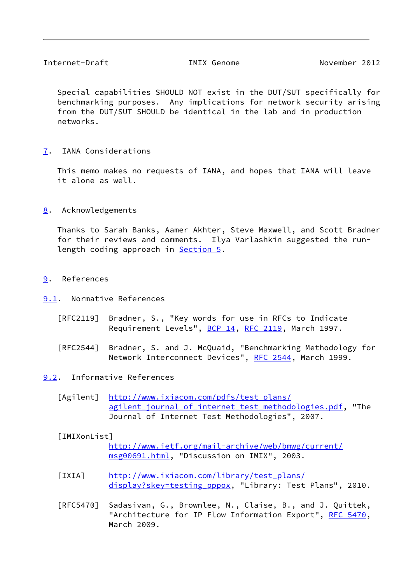<span id="page-9-1"></span> Special capabilities SHOULD NOT exist in the DUT/SUT specifically for benchmarking purposes. Any implications for network security arising from the DUT/SUT SHOULD be identical in the lab and in production networks.

<span id="page-9-0"></span>[7](#page-9-0). IANA Considerations

 This memo makes no requests of IANA, and hopes that IANA will leave it alone as well.

<span id="page-9-2"></span>[8](#page-9-2). Acknowledgements

 Thanks to Sarah Banks, Aamer Akhter, Steve Maxwell, and Scott Bradner for their reviews and comments. Ilya Varlashkin suggested the run- length coding approach in [Section 5.](#page-7-1)

- <span id="page-9-3"></span>[9](#page-9-3). References
- <span id="page-9-4"></span>[9.1](#page-9-4). Normative References
	- [RFC2119] Bradner, S., "Key words for use in RFCs to Indicate Requirement Levels", [BCP 14](https://datatracker.ietf.org/doc/pdf/bcp14), [RFC 2119](https://datatracker.ietf.org/doc/pdf/rfc2119), March 1997.
	- [RFC2544] Bradner, S. and J. McQuaid, "Benchmarking Methodology for Network Interconnect Devices", [RFC 2544](https://datatracker.ietf.org/doc/pdf/rfc2544), March 1999.
- <span id="page-9-7"></span><span id="page-9-5"></span>[9.2](#page-9-5). Informative References
	- [Agilent] [http://www.ixiacom.com/pdfs/test\\_plans/](http://www.ixiacom.com/pdfs/test_plans/agilent_journal_of_internet_test_methodologies.pdf) [agilent\\_journal\\_of\\_internet\\_test\\_methodologies.pdf,](http://www.ixiacom.com/pdfs/test_plans/agilent_journal_of_internet_test_methodologies.pdf) "The Journal of Internet Test Methodologies", 2007.

### [IMIXonList]

 [http://www.ietf.org/mail-archive/web/bmwg/current/](http://www.ietf.org/mail-archive/web/bmwg/current/msg00691.html) [msg00691.html,](http://www.ietf.org/mail-archive/web/bmwg/current/msg00691.html) "Discussion on IMIX", 2003.

- <span id="page-9-6"></span> [IXIA] [http://www.ixiacom.com/library/test\\_plans/](http://www.ixiacom.com/library/test_plans/display?skey=testing_pppox) display?skey=testing pppox, "Library: Test Plans", 2010.
- [RFC5470] Sadasivan, G., Brownlee, N., Claise, B., and J. Quittek, "Architecture for IP Flow Information Export", [RFC 5470](https://datatracker.ietf.org/doc/pdf/rfc5470), March 2009.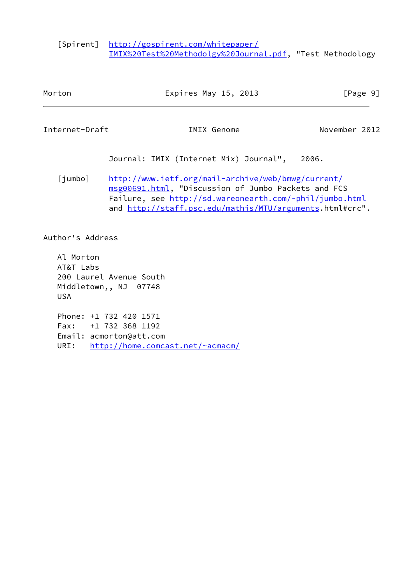<span id="page-10-1"></span> [Spirent] [http://gospirent.com/whitepaper/](http://gospirent.com/whitepaper/IMIX%20Test%20Methodolgy%20Journal.pdf) [IMIX%20Test%20Methodolgy%20Journal.pdf](http://gospirent.com/whitepaper/IMIX%20Test%20Methodolgy%20Journal.pdf), "Test Methodology

<span id="page-10-2"></span><span id="page-10-0"></span>

| Morton                               |                                                                           | Expires May 15, 2013                                                                                                                                                                                                             | [Page 9]      |
|--------------------------------------|---------------------------------------------------------------------------|----------------------------------------------------------------------------------------------------------------------------------------------------------------------------------------------------------------------------------|---------------|
| Internet-Draft                       |                                                                           | IMIX Genome                                                                                                                                                                                                                      | November 2012 |
|                                      |                                                                           | Journal: IMIX (Internet Mix) Journal", 2006.                                                                                                                                                                                     |               |
| [jumbo]                              |                                                                           | http://www.ietf.org/mail-archive/web/bmwg/current/<br>msg00691.html, "Discussion of Jumbo Packets and FCS<br>Failure, see http://sd.wareonearth.com/~phil/jumbo.html<br>and http://staff.psc.edu/mathis/MTU/arguments.html#crc". |               |
| Author's Address                     |                                                                           |                                                                                                                                                                                                                                  |               |
| Al Morton<br>AT&T Labs<br><b>USA</b> | 200 Laurel Avenue South<br>Middletown,, NJ 07748                          |                                                                                                                                                                                                                                  |               |
| URI:                                 | Phone: +1 732 420 1571<br>Fax: +1 732 368 1192<br>Email: acmorton@att.com | http://home.comcast.net/~acmacm/                                                                                                                                                                                                 |               |